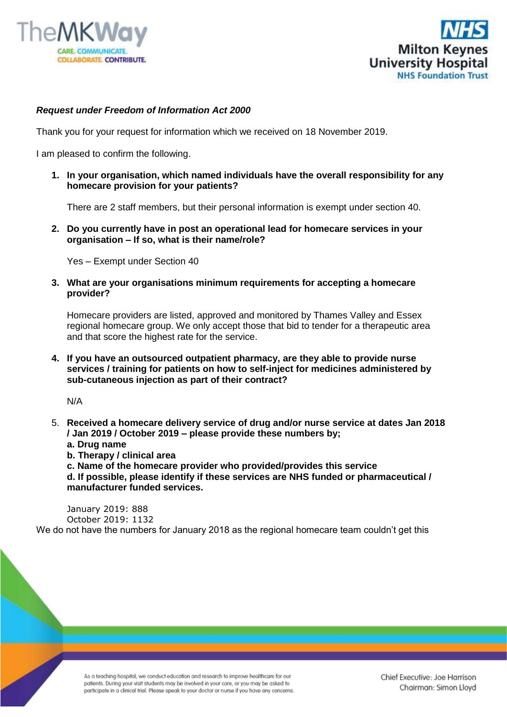



## *Request under Freedom of Information Act 2000*

Thank you for your request for information which we received on 18 November 2019.

I am pleased to confirm the following.

**1. In your organisation, which named individuals have the overall responsibility for any homecare provision for your patients?**

There are 2 staff members, but their personal information is exempt under section 40.

**2. Do you currently have in post an operational lead for homecare services in your organisation – If so, what is their name/role?**

Yes – Exempt under Section 40

**3. What are your organisations minimum requirements for accepting a homecare provider?**

Homecare providers are listed, approved and monitored by Thames Valley and Essex regional homecare group. We only accept those that bid to tender for a therapeutic area and that score the highest rate for the service.

**4. If you have an outsourced outpatient pharmacy, are they able to provide nurse services / training for patients on how to self-inject for medicines administered by sub-cutaneous injection as part of their contract?**

N/A

- 5. **Received a homecare delivery service of drug and/or nurse service at dates Jan 2018 / Jan 2019 / October 2019 – please provide these numbers by;**
	- **a. Drug name**

**b. Therapy / clinical area**

**c. Name of the homecare provider who provided/provides this service d. If possible, please identify if these services are NHS funded or pharmaceutical / manufacturer funded services.**

January 2019: 888 October 2019: 1132

We do not have the numbers for January 2018 as the regional homecare team couldn't get this

As a teaching hospital, we conduct education and research to improve healthcare for our patients. During your visit students may be involved in your care, or you may be asked to participate in a clinical trial. Please speak to your doctor or nurse if you have any concerns.